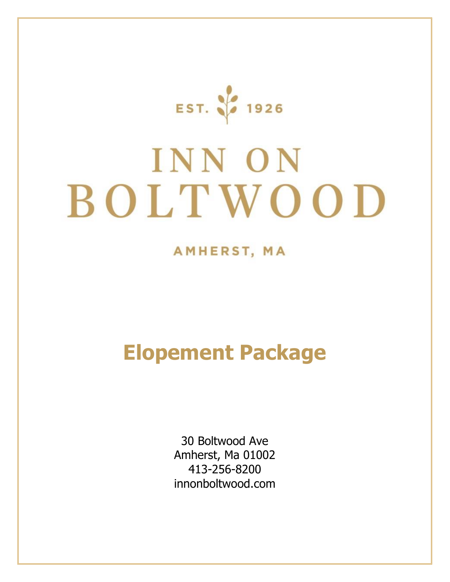EST. 36 1926

# INN ON BOLTWOOD

## AMHERST, MA

## **Elopement Package**

30 Boltwood Ave Amherst, Ma 01002 413-256-8200 innonboltwood.com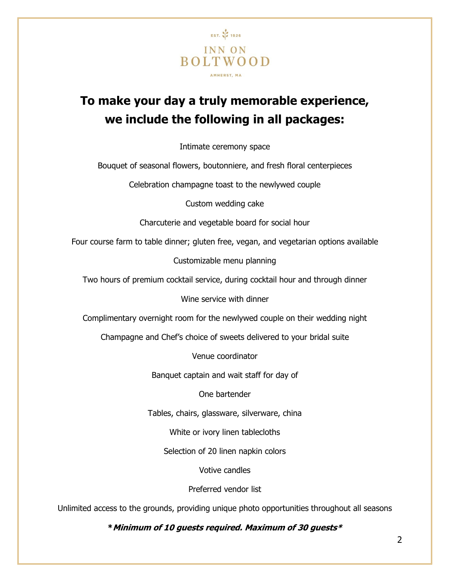

## **To make your day a truly memorable experience, we include the following in all packages:**

Intimate ceremony space

Bouquet of seasonal flowers, boutonniere, and fresh floral centerpieces

Celebration champagne toast to the newlywed couple

Custom wedding cake

Charcuterie and vegetable board for social hour

Four course farm to table dinner; gluten free, vegan, and vegetarian options available

Customizable menu planning

Two hours of premium cocktail service, during cocktail hour and through dinner

Wine service with dinner

Complimentary overnight room for the newlywed couple on their wedding night

Champagne and Chef's choice of sweets delivered to your bridal suite

Venue coordinator

Banquet captain and wait staff for day of

One bartender

Tables, chairs, glassware, silverware, china

White or ivory linen tablecloths

Selection of 20 linen napkin colors

Votive candles

Preferred vendor list

Unlimited access to the grounds, providing unique photo opportunities throughout all seasons

**\*Minimum of 10 guests required. Maximum of 30 guests\***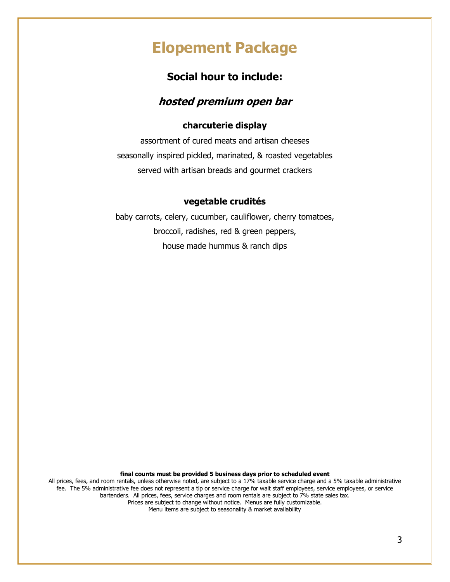## **Elopement Package**

### **Social hour to include:**

#### **hosted premium open bar**

#### **charcuterie display**

assortment of cured meats and artisan cheeses seasonally inspired pickled, marinated, & roasted vegetables served with artisan breads and gourmet crackers

#### **vegetable crudités**

baby carrots, celery, cucumber, cauliflower, cherry tomatoes, broccoli, radishes, red & green peppers, house made hummus & ranch dips

**final counts must be provided 5 business days prior to scheduled event**

All prices, fees, and room rentals, unless otherwise noted, are subject to a 17% taxable service charge and a 5% taxable administrative fee. The 5% administrative fee does not represent a tip or service charge for wait staff employees, service employees, or service bartenders. All prices, fees, service charges and room rentals are subject to 7% state sales tax. Prices are subject to change without notice. Menus are fully customizable.

Menu items are subject to seasonality & market availability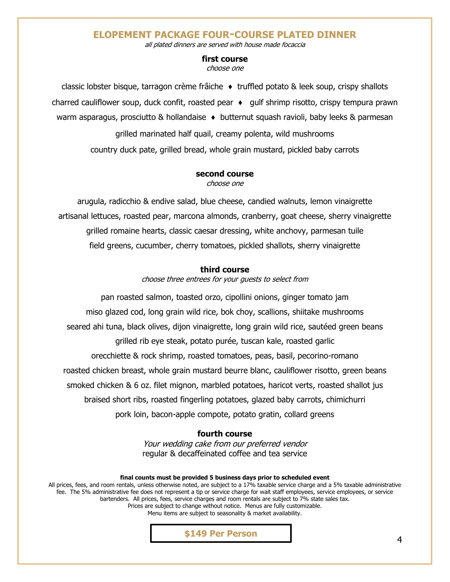#### **ELOPEMENT PACKAGE FOUR-COURSE PLATED DINNER**

all plated dinners are served with house made focaccia

#### **first course**

choose one

classic lobster bisque, tarragon crème frâiche ♦ truffled potato & leek soup, crispy shallots charred cauliflower soup, duck confit, roasted pear ♦ gulf shrimp risotto, crispy tempura prawn warm asparagus, prosciutto & hollandaise ♦ butternut squash ravioli, baby leeks & parmesan grilled marinated half quail, creamy polenta, wild mushrooms country duck pate, grilled bread, whole grain mustard, pickled baby carrots

#### **second course** choose one

arugula, radicchio & endive salad, blue cheese, candied walnuts, lemon vinaigrette artisanal lettuces, roasted pear, marcona almonds, cranberry, goat cheese, sherry vinaigrette grilled romaine hearts, classic caesar dressing, white anchovy, parmesan tuile field greens, cucumber, cherry tomatoes, pickled shallots, sherry vinaigrette

#### **third course**

choose three entrees for your guests to select from

pan roasted salmon, toasted orzo, cipollini onions, ginger tomato jam miso glazed cod, long grain wild rice, bok choy, scallions, shiitake mushrooms seared ahi tuna, black olives, dijon vinaigrette, long grain wild rice, sautéed green beans grilled rib eye steak, potato purée, tuscan kale, roasted garlic orecchiette & rock shrimp, roasted tomatoes, peas, basil, pecorino-romano roasted chicken breast, whole grain mustard beurre blanc, cauliflower risotto, green beans smoked chicken & 6 oz. filet mignon, marbled potatoes, haricot verts, roasted shallot jus braised short ribs, roasted fingerling potatoes, glazed baby carrots, chimichurri pork loin, bacon-apple compote, potato gratin, collard greens

#### **fourth course**

Your wedding cake from our preferred vendor regular & decaffeinated coffee and tea service

**final counts must be provided 5 business days prior to scheduled event** All prices, fees, and room rentals, unless otherwise noted, are subject to a 17% taxable service charge and a 5% taxable administrative fee. The 5% administrative fee does not represent a tip or service charge for wait staff employees, service employees, or service bartenders. All prices, fees, service charges and room rentals are subject to 7% state sales tax. Prices are subject to change without notice. Menus are fully customizable. Menu items are subject to seasonality & market availability.



4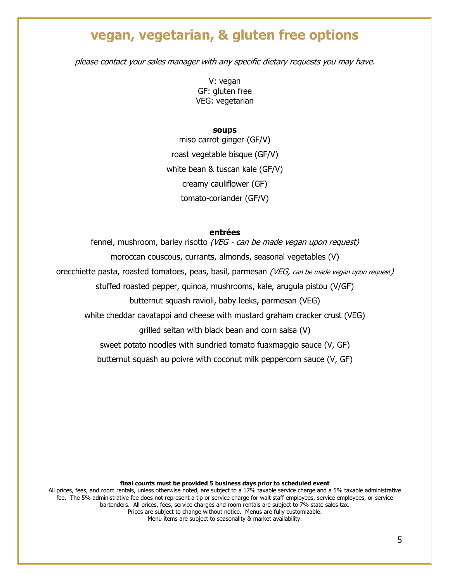## **vegan, vegetarian, & gluten free options**

please contact your sales manager with any specific dietary requests you may have.

V: vegan GF: gluten free VEG: vegetarian

**soups**

miso carrot ginger (GF/V) roast vegetable bisque (GF/V) white bean & tuscan kale (GF/V) creamy cauliflower (GF) tomato-coriander (GF/V)

#### **entrées**

fennel, mushroom, barley risotto (VEG - can be made vegan upon request)

moroccan couscous, currants, almonds, seasonal vegetables (V)

orecchiette pasta, roasted tomatoes, peas, basil, parmesan (VEG, can be made vegan upon request)

stuffed roasted pepper, quinoa, mushrooms, kale, arugula pistou (V/GF)

butternut squash ravioli, baby leeks, parmesan (VEG)

white cheddar cavatappi and cheese with mustard graham cracker crust (VEG)

grilled seitan with black bean and corn salsa (V)

sweet potato noodles with sundried tomato fuaxmaggio sauce (V, GF)

butternut squash au poivre with coconut milk peppercorn sauce (V, GF)

**final counts must be provided 5 business days prior to scheduled event**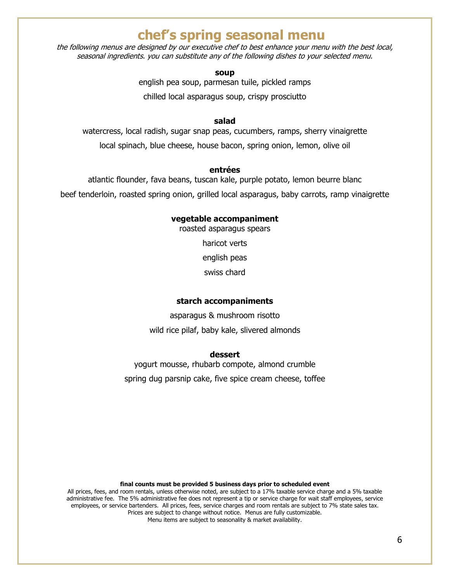## **chef's spring seasonal menu**

the following menus are designed by our executive chef to best enhance your menu with the best local, seasonal ingredients. you can substitute any of the following dishes to your selected menu.

**soup**

english pea soup, parmesan tuile, pickled ramps

chilled local asparagus soup, crispy prosciutto

#### **salad**

watercress, local radish, sugar snap peas, cucumbers, ramps, sherry vinaigrette local spinach, blue cheese, house bacon, spring onion, lemon, olive oil

#### **entrées**

atlantic flounder, fava beans, tuscan kale, purple potato, lemon beurre blanc beef tenderloin, roasted spring onion, grilled local asparagus, baby carrots, ramp vinaigrette

#### **vegetable accompaniment**

roasted asparagus spears

haricot verts

english peas

swiss chard

#### **starch accompaniments**

asparagus & mushroom risotto wild rice pilaf, baby kale, slivered almonds

#### **dessert**

yogurt mousse, rhubarb compote, almond crumble spring dug parsnip cake, five spice cream cheese, toffee

#### **final counts must be provided 5 business days prior to scheduled event**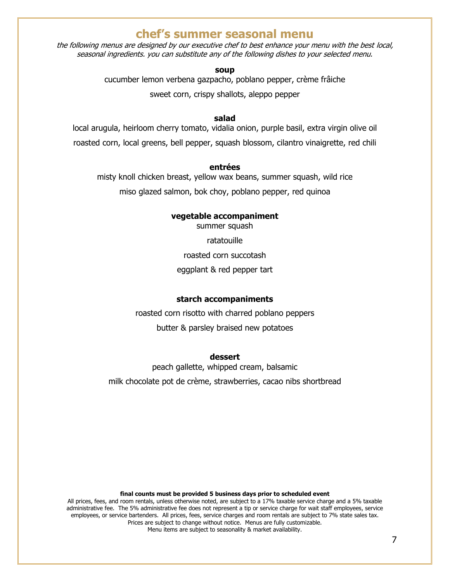#### **chef's summer seasonal menu**

the following menus are designed by our executive chef to best enhance your menu with the best local, seasonal ingredients. you can substitute any of the following dishes to your selected menu.

#### **soup**

cucumber lemon verbena gazpacho, poblano pepper, crème frâiche

sweet corn, crispy shallots, aleppo pepper

#### **salad**

local arugula, heirloom cherry tomato, vidalia onion, purple basil, extra virgin olive oil roasted corn, local greens, bell pepper, squash blossom, cilantro vinaigrette, red chili

#### **entrées**

misty knoll chicken breast, yellow wax beans, summer squash, wild rice

miso glazed salmon, bok choy, poblano pepper, red quinoa

#### **vegetable accompaniment**

summer squash

ratatouille

roasted corn succotash

#### eggplant & red pepper tart

#### **starch accompaniments**

roasted corn risotto with charred poblano peppers butter & parsley braised new potatoes

#### **dessert**

peach gallette, whipped cream, balsamic milk chocolate pot de crème, strawberries, cacao nibs shortbread

#### **final counts must be provided 5 business days prior to scheduled event**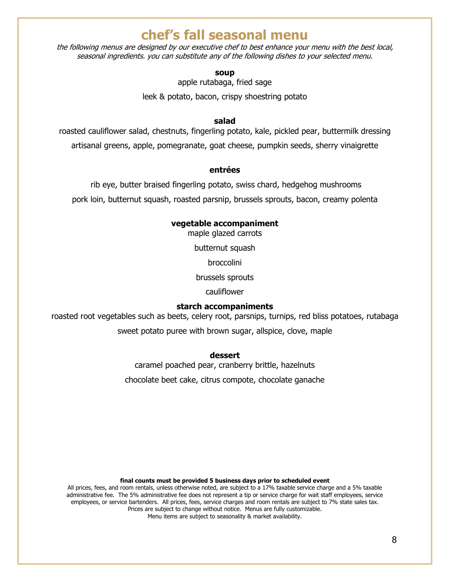## **chef's fall seasonal menu**

the following menus are designed by our executive chef to best enhance your menu with the best local, seasonal ingredients. you can substitute any of the following dishes to your selected menu.

#### **soup**

apple rutabaga, fried sage

leek & potato, bacon, crispy shoestring potato

#### **salad**

roasted cauliflower salad, chestnuts, fingerling potato, kale, pickled pear, buttermilk dressing artisanal greens, apple, pomegranate, goat cheese, pumpkin seeds, sherry vinaigrette

#### **entrées**

rib eye, butter braised fingerling potato, swiss chard, hedgehog mushrooms pork loin, butternut squash, roasted parsnip, brussels sprouts, bacon, creamy polenta

#### **vegetable accompaniment**

maple glazed carrots

butternut squash

broccolini

brussels sprouts

cauliflower

#### **starch accompaniments**

roasted root vegetables such as beets, celery root, parsnips, turnips, red bliss potatoes, rutabaga

sweet potato puree with brown sugar, allspice, clove, maple

**dessert**

caramel poached pear, cranberry brittle, hazelnuts chocolate beet cake, citrus compote, chocolate ganache

**final counts must be provided 5 business days prior to scheduled event**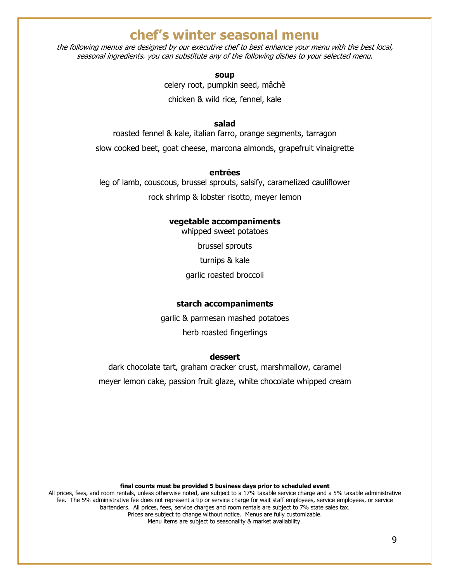## **chef's winter seasonal menu**

the following menus are designed by our executive chef to best enhance your menu with the best local, seasonal ingredients. you can substitute any of the following dishes to your selected menu.

> **soup** celery root, pumpkin seed, mâchè chicken & wild rice, fennel, kale

#### **salad**

roasted fennel & kale, italian farro, orange segments, tarragon slow cooked beet, goat cheese, marcona almonds, grapefruit vinaigrette

#### **entrées**

leg of lamb, couscous, brussel sprouts, salsify, caramelized cauliflower rock shrimp & lobster risotto, meyer lemon

#### **vegetable accompaniments**

whipped sweet potatoes brussel sprouts turnips & kale garlic roasted broccoli

#### **starch accompaniments**

garlic & parmesan mashed potatoes herb roasted fingerlings

#### **dessert**

dark chocolate tart, graham cracker crust, marshmallow, caramel meyer lemon cake, passion fruit glaze, white chocolate whipped cream

**final counts must be provided 5 business days prior to scheduled event**

All prices, fees, and room rentals, unless otherwise noted, are subject to a 17% taxable service charge and a 5% taxable administrative fee. The 5% administrative fee does not represent a tip or service charge for wait staff employees, service employees, or service bartenders. All prices, fees, service charges and room rentals are subject to 7% state sales tax. Prices are subject to change without notice. Menus are fully customizable. Menu items are subject to seasonality & market availability.

9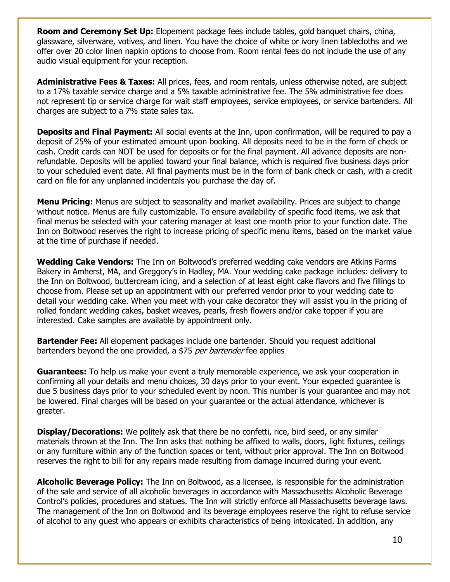**Room and Ceremony Set Up:** Elopement package fees include tables, gold banquet chairs, china, glassware, silverware, votives, and linen. You have the choice of white or ivory linen tablecloths and we offer over 20 color linen napkin options to choose from. Room rental fees do not include the use of any audio visual equipment for your reception.

**Administrative Fees & Taxes:** All prices, fees, and room rentals, unless otherwise noted, are subject to a 17% taxable service charge and a 5% taxable administrative fee. The 5% administrative fee does not represent tip or service charge for wait staff employees, service employees, or service bartenders. All charges are subject to a 7% state sales tax.

**Deposits and Final Payment:** All social events at the Inn, upon confirmation, will be required to pay a deposit of 25% of your estimated amount upon booking. All deposits need to be in the form of check or cash. Credit cards can NOT be used for deposits or for the final payment. All advance deposits are nonrefundable. Deposits will be applied toward your final balance, which is required five business days prior to your scheduled event date. All final payments must be in the form of bank check or cash, with a credit card on file for any unplanned incidentals you purchase the day of.

**Menu Pricing:** Menus are subject to seasonality and market availability. Prices are subject to change without notice. Menus are fully customizable. To ensure availability of specific food items, we ask that final menus be selected with your catering manager at least one month prior to your function date. The Inn on Boltwood reserves the right to increase pricing of specific menu items, based on the market value at the time of purchase if needed.

**Wedding Cake Vendors:** The Inn on Boltwood's preferred wedding cake vendors are Atkins Farms Bakery in Amherst, MA, and Greggory's in Hadley, MA. Your wedding cake package includes: delivery to the Inn on Boltwood, buttercream icing, and a selection of at least eight cake flavors and five fillings to choose from. Please set up an appointment with our preferred vendor prior to your wedding date to detail your wedding cake. When you meet with your cake decorator they will assist you in the pricing of rolled fondant wedding cakes, basket weaves, pearls, fresh flowers and/or cake topper if you are interested. Cake samples are available by appointment only.

**Bartender Fee:** All elopement packages include one bartender. Should you request additional bartenders beyond the one provided, a \$75 per bartender fee applies

**Guarantees:** To help us make your event a truly memorable experience, we ask your cooperation in confirming all your details and menu choices, 30 days prior to your event. Your expected guarantee is due 5 business days prior to your scheduled event by noon. This number is your guarantee and may not be lowered. Final charges will be based on your guarantee or the actual attendance, whichever is greater.

**Display/Decorations:** We politely ask that there be no confetti, rice, bird seed, or any similar materials thrown at the Inn. The Inn asks that nothing be affixed to walls, doors, light fixtures, ceilings or any furniture within any of the function spaces or tent, without prior approval. The Inn on Boltwood reserves the right to bill for any repairs made resulting from damage incurred during your event.

**Alcoholic Beverage Policy:** The Inn on Boltwood, as a licensee, is responsible for the administration of the sale and service of all alcoholic beverages in accordance with Massachusetts Alcoholic Beverage Control's policies, procedures and statues. The Inn will strictly enforce all Massachusetts beverage laws. The management of the Inn on Boltwood and its beverage employees reserve the right to refuse service of alcohol to any guest who appears or exhibits characteristics of being intoxicated. In addition, any